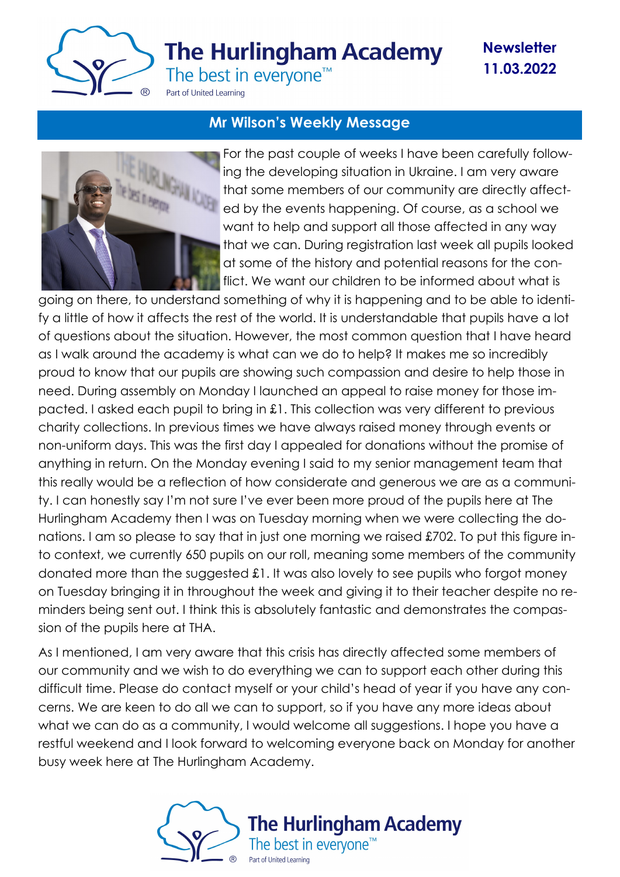

# **The Hurlingham Academy**

**Newsletter 11.03.2022**

The best in everyone<sup>™</sup>

Part of United Learning

### **Mr Wilson's Weekly Message**



For the past couple of weeks I have been carefully following the developing situation in Ukraine. I am very aware that some members of our community are directly affected by the events happening. Of course, as a school we want to help and support all those affected in any way that we can. During registration last week all pupils looked at some of the history and potential reasons for the conflict. We want our children to be informed about what is

going on there, to understand something of why it is happening and to be able to identify a little of how it affects the rest of the world. It is understandable that pupils have a lot of questions about the situation. However, the most common question that I have heard as I walk around the academy is what can we do to help? It makes me so incredibly proud to know that our pupils are showing such compassion and desire to help those in need. During assembly on Monday I launched an appeal to raise money for those impacted. I asked each pupil to bring in £1. This collection was very different to previous charity collections. In previous times we have always raised money through events or non-uniform days. This was the first day I appealed for donations without the promise of anything in return. On the Monday evening I said to my senior management team that this really would be a reflection of how considerate and generous we are as a community. I can honestly say I'm not sure I've ever been more proud of the pupils here at The Hurlingham Academy then I was on Tuesday morning when we were collecting the donations. I am so please to say that in just one morning we raised £702. To put this figure into context, we currently 650 pupils on our roll, meaning some members of the community donated more than the suggested £1. It was also lovely to see pupils who forgot money on Tuesday bringing it in throughout the week and giving it to their teacher despite no reminders being sent out. I think this is absolutely fantastic and demonstrates the compassion of the pupils here at THA.

As I mentioned, I am very aware that this crisis has directly affected some members of our community and we wish to do everything we can to support each other during this difficult time. Please do contact myself or your child's head of year if you have any concerns. We are keen to do all we can to support, so if you have any more ideas about what we can do as a community, I would welcome all suggestions. I hope you have a restful weekend and I look forward to welcoming everyone back on Monday for another busy week here at The Hurlingham Academy.

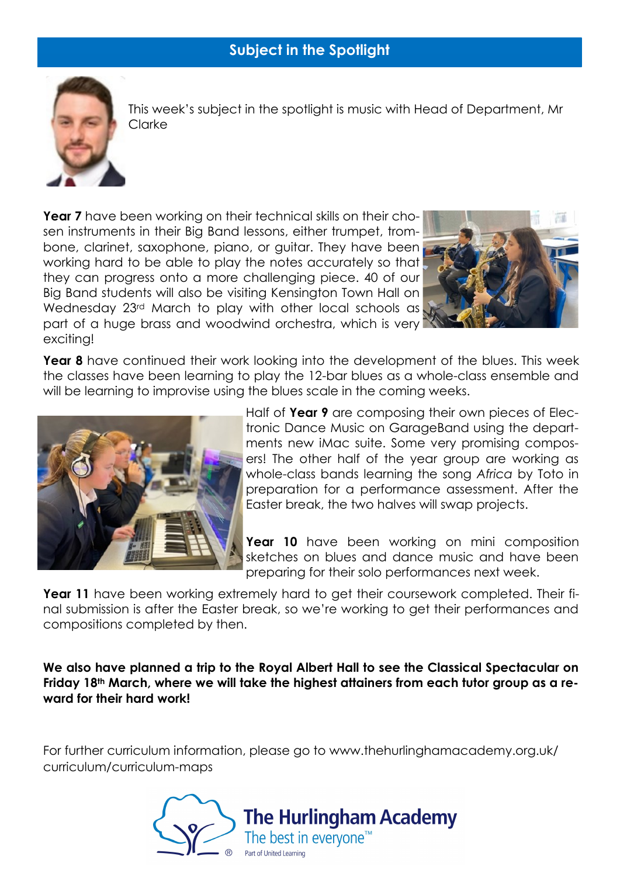

This week's subject in the spotlight is music with Head of Department, Mr Clarke

**Year 7** have been working on their technical skills on their chosen instruments in their Big Band lessons, either trumpet, trombone, clarinet, saxophone, piano, or guitar. They have been working hard to be able to play the notes accurately so that they can progress onto a more challenging piece. 40 of our Big Band students will also be visiting Kensington Town Hall on Wednesday 23rd March to play with other local schools as part of a huge brass and woodwind orchestra, which is very exciting!



**Year 8** have continued their work looking into the development of the blues. This week the classes have been learning to play the 12-bar blues as a whole-class ensemble and will be learning to improvise using the blues scale in the coming weeks.



Half of **Year 9** are composing their own pieces of Electronic Dance Music on GarageBand using the departments new iMac suite. Some very promising composers! The other half of the year group are working as whole-class bands learning the song *Africa* by Toto in preparation for a performance assessment. After the Easter break, the two halves will swap projects.

**Year 10** have been working on mini composition sketches on blues and dance music and have been preparing for their solo performances next week.

**Year 11** have been working extremely hard to get their coursework completed. Their final submission is after the Easter break, so we're working to get their performances and compositions completed by then.

**We also have planned a trip to the Royal Albert Hall to see the Classical Spectacular on Friday 18th March, where we will take the highest attainers from each tutor group as a reward for their hard work!**

For further curriculum information, please go to www.thehurlinghamacademy.org.uk/ curriculum/curriculum-maps

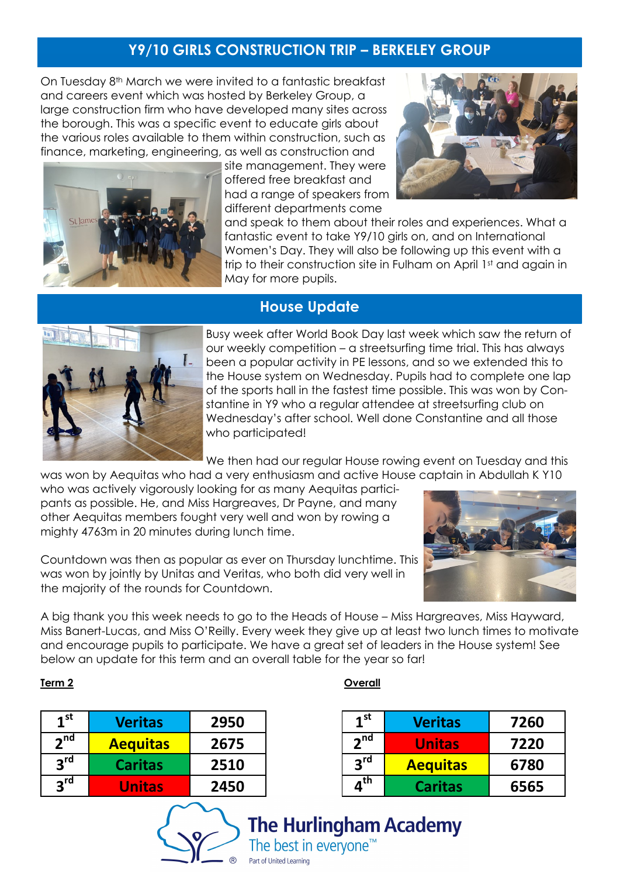# **Y9/10 GIRLS CONSTRUCTION TRIP – BERKELEY GROUP**

On Tuesday 8<sup>th</sup> March we were invited to a fantastic breakfast and careers event which was hosted by Berkeley Group, a large construction firm who have developed many sites across the borough. This was a specific event to educate girls about the various roles available to them within construction, such as finance, marketing, engineering, as well as construction and



site management. They were offered free breakfast and had a range of speakers from different departments come



and speak to them about their roles and experiences. What a fantastic event to take Y9/10 girls on, and on International Women's Day. They will also be following up this event with a trip to their construction site in Fulham on April 1st and again in May for more pupils.

### **House Update**



Busy week after World Book Day last week which saw the return of our weekly competition – a streetsurfing time trial. This has always been a popular activity in PE lessons, and so we extended this to the House system on Wednesday. Pupils had to complete one lap of the sports hall in the fastest time possible. This was won by Constantine in Y9 who a regular attendee at streetsurfing club on Wednesday's after school. Well done Constantine and all those who participated!

We then had our regular House rowing event on Tuesday and this

was won by Aequitas who had a very enthusiasm and active House captain in Abdullah K Y10 who was actively vigorously looking for as many Aequitas participants as possible. He, and Miss Hargreaves, Dr Payne, and many other Aequitas members fought very well and won by rowing a

mighty 4763m in 20 minutes during lunch time.



Countdown was then as popular as ever on Thursday lunchtime. This was won by jointly by Unitas and Veritas, who both did very well in the majority of the rounds for Countdown.

A big thank you this week needs to go to the Heads of House – Miss Hargreaves, Miss Hayward, Miss Banert-Lucas, and Miss O'Reilly. Every week they give up at least two lunch times to motivate and encourage pupils to participate. We have a great set of leaders in the House system! See below an update for this term and an overall table for the year so far!

| 1 <sup>st</sup> | <b>Veritas</b>  | 2950 |
|-----------------|-----------------|------|
| 2 <sup>nd</sup> | <b>Aequitas</b> | 2675 |
| 3 <sup>rd</sup> | <b>Caritas</b>  | 2510 |
| <b>2rd</b>      | <b>Unitas</b>   | 2450 |

### **Term 2 Overall**

| 1 <sup>st</sup> | <b>Veritas</b>  | 7260 |
|-----------------|-----------------|------|
| 2 <sup>nd</sup> | <b>Unitas</b>   | 7220 |
| <b>ard</b>      | <b>Aequitas</b> | 6780 |
| ղ <sup>th</sup> | <b>Caritas</b>  | 6565 |

**The Hurlingham Academy** The best in everyone<sup> $^m$ </sup>

Part of United Learning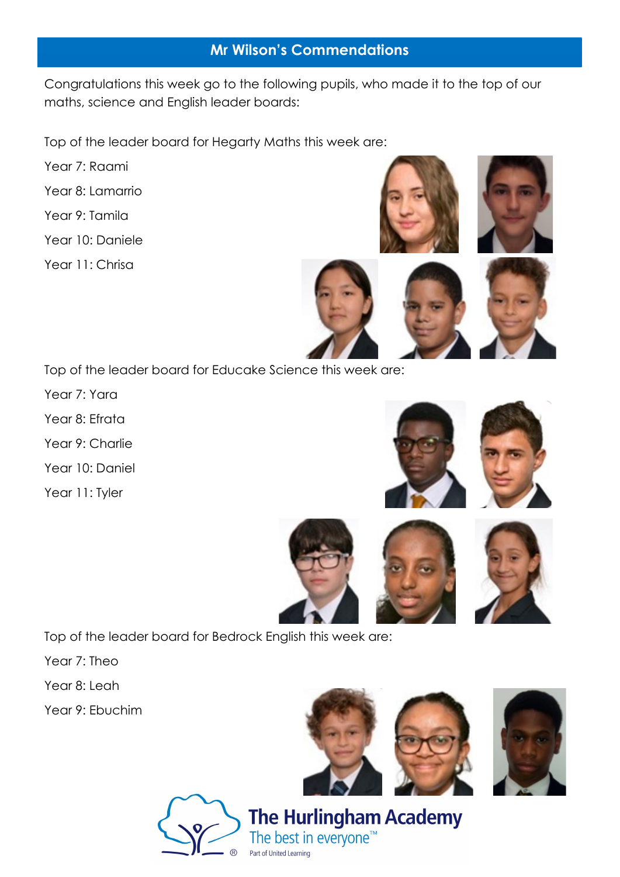# **Mr Wilson's Commendations**

Congratulations this week go to the following pupils, who made it to the top of our maths, science and English leader boards:

Top of the leader board for Hegarty Maths this week are:

- Year 7: Raami
- Year 8: Lamarrio
- Year 9: Tamila
- Year 10: Daniele
- Year 11: Chrisa







Top of the leader board for Educake Science this week are:

- Year 7: Yara
- Year 8: Efrata
- Year 9: Charlie
- Year 10: Daniel
- Year 11: Tyler









Top of the leader board for Bedrock English this week are:

- Year 7: Theo
- Year 8: Leah
- Year 9: Ebuchim